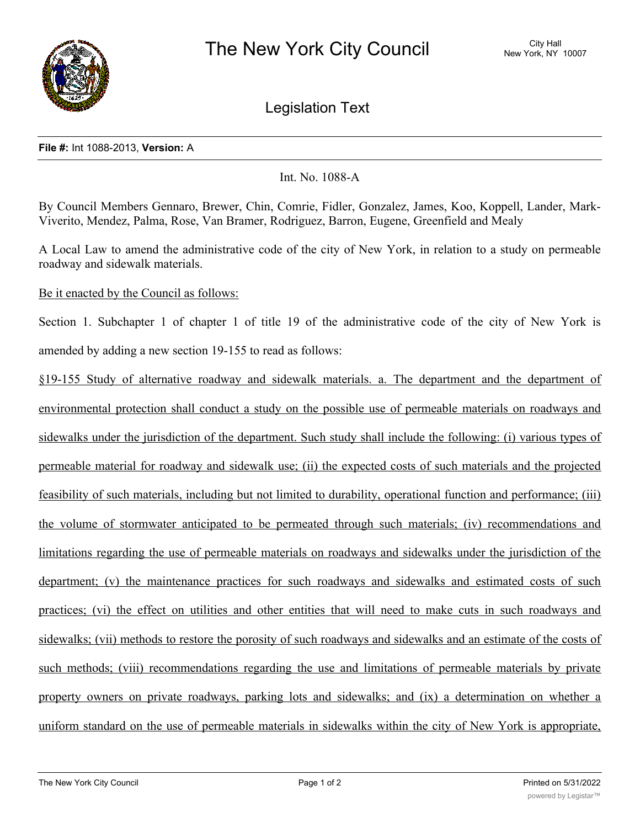

Legislation Text

## **File #:** Int 1088-2013, **Version:** A

Int. No. 1088-A

By Council Members Gennaro, Brewer, Chin, Comrie, Fidler, Gonzalez, James, Koo, Koppell, Lander, Mark-Viverito, Mendez, Palma, Rose, Van Bramer, Rodriguez, Barron, Eugene, Greenfield and Mealy

A Local Law to amend the administrative code of the city of New York, in relation to a study on permeable roadway and sidewalk materials.

Be it enacted by the Council as follows:

Section 1. Subchapter 1 of chapter 1 of title 19 of the administrative code of the city of New York is amended by adding a new section 19-155 to read as follows:

§19-155 Study of alternative roadway and sidewalk materials. a. The department and the department of environmental protection shall conduct a study on the possible use of permeable materials on roadways and sidewalks under the jurisdiction of the department. Such study shall include the following: (i) various types of permeable material for roadway and sidewalk use; (ii) the expected costs of such materials and the projected feasibility of such materials, including but not limited to durability, operational function and performance; (iii) the volume of stormwater anticipated to be permeated through such materials; (iv) recommendations and limitations regarding the use of permeable materials on roadways and sidewalks under the jurisdiction of the department; (v) the maintenance practices for such roadways and sidewalks and estimated costs of such practices; (vi) the effect on utilities and other entities that will need to make cuts in such roadways and sidewalks; (vii) methods to restore the porosity of such roadways and sidewalks and an estimate of the costs of such methods; (viii) recommendations regarding the use and limitations of permeable materials by private property owners on private roadways, parking lots and sidewalks; and (ix) a determination on whether a uniform standard on the use of permeable materials in sidewalks within the city of New York is appropriate,